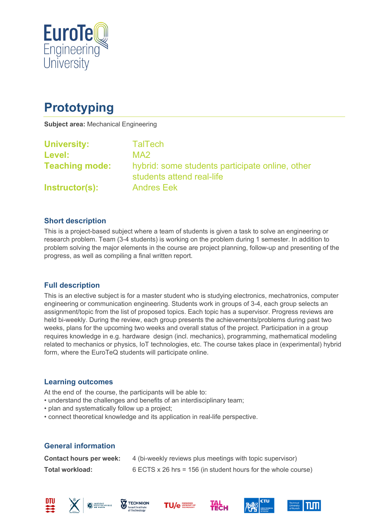

# **Prototyping**

**Subject area:** Mechanical Engineering

| <b>University:</b>    | <b>TalTech</b>                                                               |
|-----------------------|------------------------------------------------------------------------------|
| <b>Level:</b>         | MA <sub>2</sub>                                                              |
| <b>Teaching mode:</b> | hybrid: some students participate online, other<br>students attend real-life |
| <b>Instructor(s):</b> | <b>Andres Eek</b>                                                            |

### **Short description**

This is a project-based subject where a team of students is given a task to solve an engineering or research problem. Team (3-4 students) is working on the problem during 1 semester. In addition to problem solving the major elements in the course are project planning, follow-up and presenting of the progress, as well as compiling a final written report.

#### **Full description**

This is an elective subject is for a master student who is studying electronics, mechatronics, computer engineering or communication engineering. Students work in groups of 3-4, each group selects an assignment/topic from the list of proposed topics. Each topic has a supervisor. Progress reviews are held bi-weekly. During the review, each group presents the achievements/problems during past two weeks, plans for the upcoming two weeks and overall status of the project. Participation in a group requires knowledge in e.g. hardware design (incl. mechanics), programming, mathematical modeling related to mechanics or physics, IoT technologies, etc. The course takes place in (experimental) hybrid form, where the EuroTeQ students will participate online.

#### **Learning outcomes**

At the end of the course, the participants will be able to:

- understand the challenges and benefits of an interdisciplinary team;
- plan and systematically follow up a project;
- connect theoretical knowledge and its application in real-life perspective.

## **General information**

| <b>Contact hours per week:</b> | 4 (bi-weekly reviews plus meetings with topic supervisor)     |
|--------------------------------|---------------------------------------------------------------|
| Total workload:                | 6 ECTS x 26 hrs = 156 (in student hours for the whole course) |













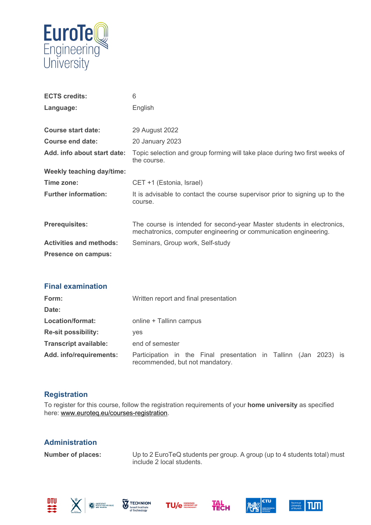

| <b>ECTS credits:</b>             | 6                                                                                                                                          |
|----------------------------------|--------------------------------------------------------------------------------------------------------------------------------------------|
| Language:                        | English                                                                                                                                    |
|                                  |                                                                                                                                            |
| <b>Course start date:</b>        | 29 August 2022                                                                                                                             |
| Course end date:                 | 20 January 2023                                                                                                                            |
| Add. info about start date:      | Topic selection and group forming will take place during two first weeks of<br>the course.                                                 |
| <b>Weekly teaching day/time:</b> |                                                                                                                                            |
| Time zone:                       | CET +1 (Estonia, Israel)                                                                                                                   |
| <b>Further information:</b>      | It is advisable to contact the course supervisor prior to signing up to the<br>course.                                                     |
| <b>Prerequisites:</b>            | The course is intended for second-year Master students in electronics,<br>mechatronics, computer engineering or communication engineering. |
| <b>Activities and methods:</b>   | Seminars, Group work, Self-study                                                                                                           |
| <b>Presence on campus:</b>       |                                                                                                                                            |
|                                  |                                                                                                                                            |
|                                  |                                                                                                                                            |

| <b>Final examination</b>     |                                                                                                     |
|------------------------------|-----------------------------------------------------------------------------------------------------|
| Form:                        | Written report and final presentation                                                               |
| Date:                        |                                                                                                     |
| Location/format:             | online + Tallinn campus                                                                             |
| <b>Re-sit possibility:</b>   | <b>ves</b>                                                                                          |
| <b>Transcript available:</b> | end of semester                                                                                     |
| Add. info/requirements:      | Participation in the Final presentation in Tallinn (Jan 2023) is<br>recommended, but not mandatory. |

## **Registration**

To register for this course, follow the registration requirements of your **home university** as specified here: [www.euroteq.eu/courses-registration.](http://www.euroteq.eu/courses-registration)

## **Administration**

**Number of places:** Up to 2 EuroTeQ students per group. A group (up to 4 students total) must include 2 local students.